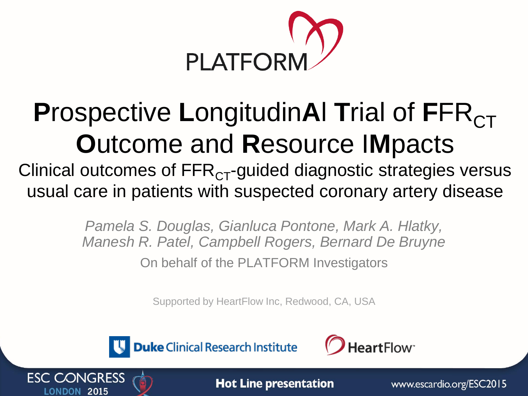

# **Prospective LongitudinAI Trial of FFR<sub>CT</sub> O**utcome and **R**esource I**M**pacts

Clinical outcomes of  $\text{FFR}_{CT}$ -guided diagnostic strategies versus usual care in patients with suspected coronary artery disease

> *Pamela S. Douglas, Gianluca Pontone, Mark A. Hlatky, Manesh R. Patel, Campbell Rogers, Bernard De Bruyne* On behalf of the PLATFORM Investigators

> > Supported by HeartFlow Inc, Redwood, CA, USA



**ESC CONGRESS** 

**Duke** Clinical Research Institute





www.escardio.org/ESC2015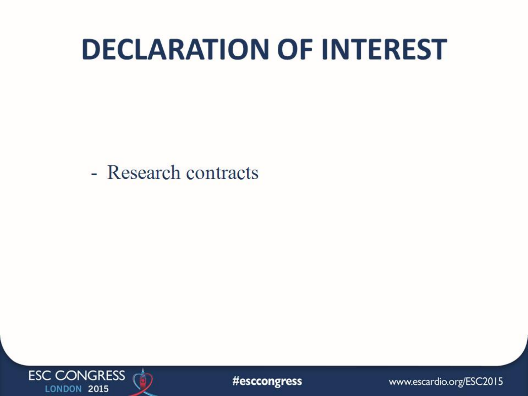# **DECLARATION OF INTEREST**

- Research contracts



#esccongress

www.escardio.org/ESC2015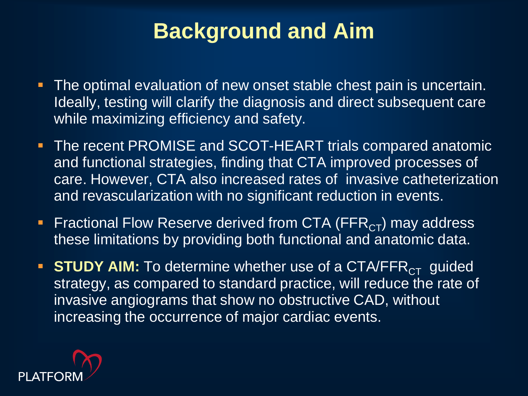#### **Background and Aim**

- **The optimal evaluation of new onset stable chest pain is uncertain.** Ideally, testing will clarify the diagnosis and direct subsequent care while maximizing efficiency and safety.
- **The recent PROMISE and SCOT-HEART trials compared anatomic** and functional strategies, finding that CTA improved processes of care. However, CTA also increased rates of invasive catheterization and revascularization with no significant reduction in events.
- Fractional Flow Reserve derived from CTA (FFR<sub>CT</sub>) may address these limitations by providing both functional and anatomic data.
- **STUDY AIM:** To determine whether use of a CTA/FFR<sub>CT</sub> guided strategy, as compared to standard practice, will reduce the rate of invasive angiograms that show no obstructive CAD, without increasing the occurrence of major cardiac events.

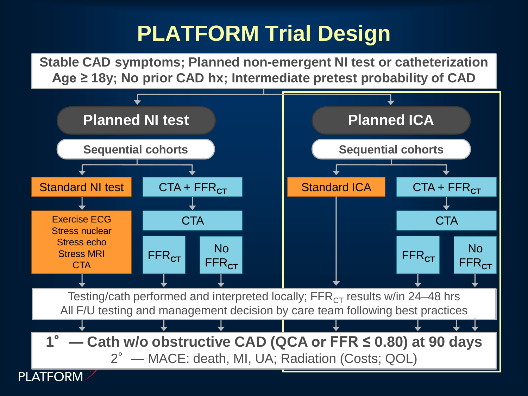### **PLATFORM Trial Design**

**Stable CAD symptoms; Planned non-emergent NI test or catheterization Age ≥ 18y; No prior CAD hx; Intermediate pretest probability of CAD**

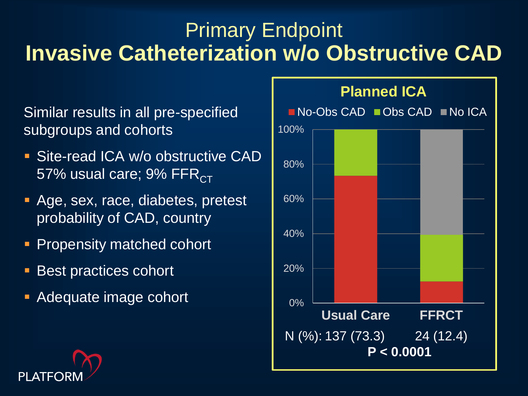#### Primary Endpoint **Invasive Catheterization w/o Obstructive CAD**

Similar results in all pre-specified subgroups and cohorts

- **Site-read ICA w/o obstructive CAD** 57% usual care;  $9\%$  FFR $_{\rm CT}$
- **Age, sex, race, diabetes, pretest** probability of CAD, country
- Propensity matched cohort
- Best practices cohort
- **Adequate image cohort**



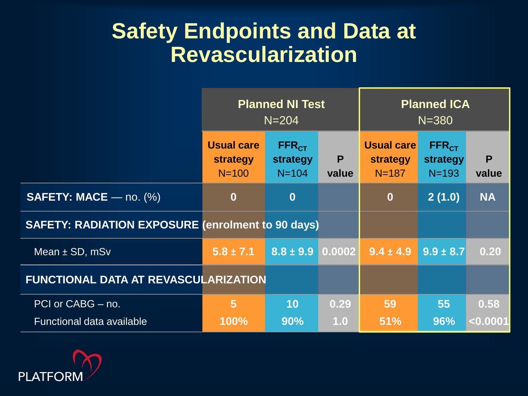#### **Safety Endpoints and Data at Revascularization**

|                                                          | <b>Planned NI Test</b><br>$N = 204$        |                                            |            | <b>Planned ICA</b><br>$N = 380$          |                                            |            |
|----------------------------------------------------------|--------------------------------------------|--------------------------------------------|------------|------------------------------------------|--------------------------------------------|------------|
|                                                          | <b>Usual care</b><br>strategy<br>$N = 100$ | FFR <sub>CT</sub><br>strategy<br>$N = 104$ | P<br>value | <b>Usual care</b><br>strategy<br>$N=187$ | FFR <sub>CT</sub><br>strategy<br>$N = 193$ | P<br>value |
| <b>SAFETY: MACE</b> — no. $(\%)$                         | $\bf{0}$                                   | $\bf{0}$                                   |            | $\bf{0}$                                 | 2(1.0)                                     | <b>NA</b>  |
| <b>SAFETY: RADIATION EXPOSURE (enrolment to 90 days)</b> |                                            |                                            |            |                                          |                                            |            |
| Mean ± SD, mSv                                           | $5.8 \pm 7.1$                              | $8.8 \pm 9.9$ 0.0002                       |            | $9.4 \pm 4.9$                            | $9.9 \pm 8.7$                              | 0.20       |
| <b>FUNCTIONAL DATA AT REVASCULARIZATION</b>              |                                            |                                            |            |                                          |                                            |            |
| PCI or CABG - no.                                        | $5\phantom{1}$                             | 10                                         | 0.29       | 59                                       | 55                                         | 0.58       |
| Functional data available                                | 100%                                       | 90%                                        | 1.0        | 51%                                      | 96%                                        | $<$ 0.0001 |